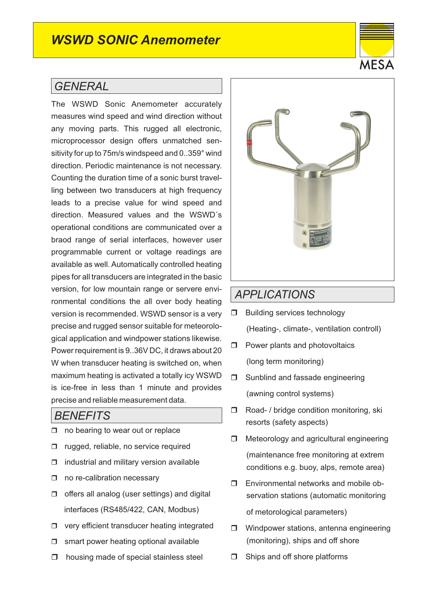## *WSWD SONIC Anemometer*

### *GENERAL*

The WSWD Sonic Anemometer accurately measures wind speed and wind direction without any moving parts. This rugged all electronic, microprocessor design offers unmatched sensitivity for up to 75m/s windspeed and 0..359° wind direction. Periodic maintenance is not necessary. Counting the duration time of a sonic burst travelling between two transducers at high frequency leads to a precise value for wind speed and direction. Measured values and the WSWD´s operational conditions are communicated over a braod range of serial interfaces, however user programmable current or voltage readings are available as well. Automatically controlled heating pipes for all transducers are integrated in the basic version, for low mountain range or servere environmental conditions the all over body heating version is recommended. WSWD sensor is a very precise and rugged sensor suitable for meteorological application and windpower stations likewise. Power requirement is 9..36V DC, it draws about 20 W when transducer heating is switched on, when maximum heating is activated a totally icy WSWD is ice-free in less than 1 minute and provides precise and reliable measurement data.

#### *BENEFITS*

- $\Box$  no bearing to wear out or replace
- □ rugged, reliable, no service required
- $\Box$  industrial and military version available
- □ no re-calibration necessary
- $\Box$  offers all analog (user settings) and digital interfaces (RS485/422, CAN, Modbus)
- $\Box$  very efficient transducer heating integrated
- $\Box$  smart power heating optional available
- $\Box$  housing made of special stainless steel



#### *APPLICATIONS*

- $\Box$  Building services technology (Heating-, climate-, ventilation controll)
- $\Box$  Power plants and photovoltaics (long term monitoring)
- □ Sunblind and fassade engineering (awning control systems)
- □ Road- / bridge condition monitoring, ski resorts (safety aspects)
- $\Box$  Meteorology and agricultural engineering (maintenance free monitoring at extrem conditions e.g. buoy, alps, remote area)
- **I** Environmental networks and mobile observation stations (automatic monitoring of metorological parameters)
- □ Windpower stations, antenna engineering (monitoring), ships and off shore
- $\Box$  Ships and off shore platforms